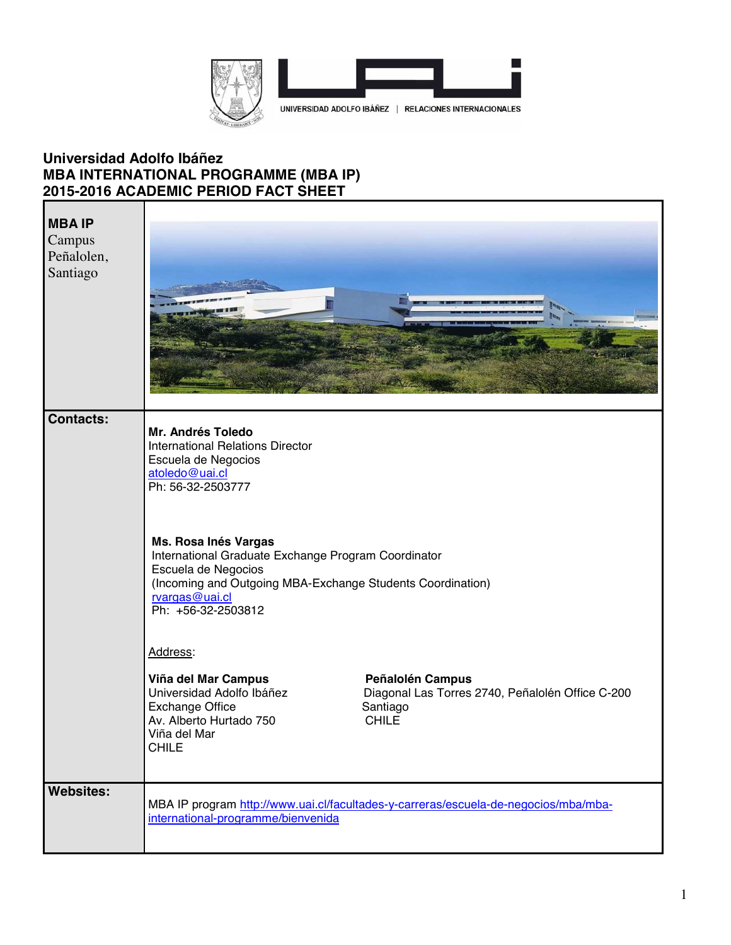

## **Universidad Adolfo Ibáñez MBA INTERNATIONAL PROGRAMME (MBA IP) 2015-2016 ACADEMIC PERIOD FACT SHEET**

| <b>MBAIP</b><br>Campus<br>Peñalolen,<br>Santiago |                                                                                                                                                                                                          |                                                                                                  |
|--------------------------------------------------|----------------------------------------------------------------------------------------------------------------------------------------------------------------------------------------------------------|--------------------------------------------------------------------------------------------------|
| <b>Contacts:</b>                                 | Mr. Andrés Toledo<br><b>International Relations Director</b><br>Escuela de Negocios<br>atoledo@uai.cl<br>Ph: 56-32-2503777                                                                               |                                                                                                  |
|                                                  | Ms. Rosa Inés Vargas<br>International Graduate Exchange Program Coordinator<br>Escuela de Negocios<br>(Incoming and Outgoing MBA-Exchange Students Coordination)<br>rvargas@uai.cl<br>Ph: +56-32-2503812 |                                                                                                  |
|                                                  | Address:<br>Viña del Mar Campus<br>Universidad Adolfo Ibáñez<br><b>Exchange Office</b><br>Av. Alberto Hurtado 750<br>Viña del Mar<br><b>CHILE</b>                                                        | Peñalolén Campus<br>Diagonal Las Torres 2740, Peñalolén Office C-200<br>Santiago<br><b>CHILE</b> |
| <b>Websites:</b>                                 | international-programme/bienvenida                                                                                                                                                                       | MBA IP program http://www.uai.cl/facultades-y-carreras/escuela-de-negocios/mba/mba-              |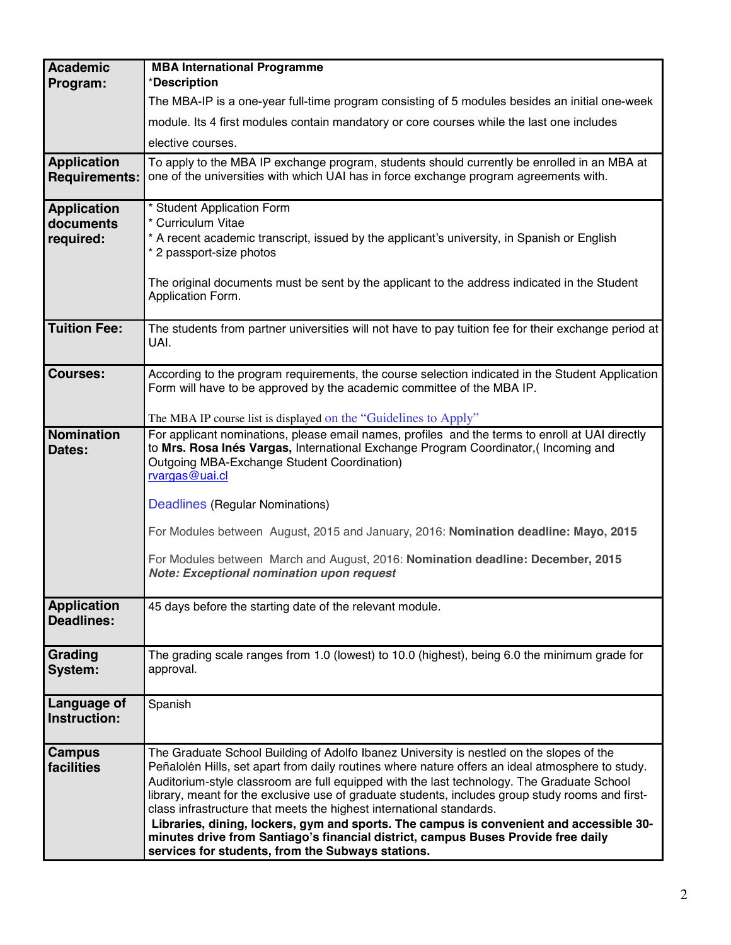| <b>Academic</b>                            | <b>MBA International Programme</b>                                                                                                                                                                                                                                                                                                                                                                                                                                                                                                                                                                                                                                                                          |  |
|--------------------------------------------|-------------------------------------------------------------------------------------------------------------------------------------------------------------------------------------------------------------------------------------------------------------------------------------------------------------------------------------------------------------------------------------------------------------------------------------------------------------------------------------------------------------------------------------------------------------------------------------------------------------------------------------------------------------------------------------------------------------|--|
| Program:                                   | *Description                                                                                                                                                                                                                                                                                                                                                                                                                                                                                                                                                                                                                                                                                                |  |
|                                            | The MBA-IP is a one-year full-time program consisting of 5 modules besides an initial one-week                                                                                                                                                                                                                                                                                                                                                                                                                                                                                                                                                                                                              |  |
|                                            | module. Its 4 first modules contain mandatory or core courses while the last one includes                                                                                                                                                                                                                                                                                                                                                                                                                                                                                                                                                                                                                   |  |
|                                            | elective courses.                                                                                                                                                                                                                                                                                                                                                                                                                                                                                                                                                                                                                                                                                           |  |
| <b>Application</b><br><b>Requirements:</b> | To apply to the MBA IP exchange program, students should currently be enrolled in an MBA at<br>one of the universities with which UAI has in force exchange program agreements with.                                                                                                                                                                                                                                                                                                                                                                                                                                                                                                                        |  |
| <b>Application</b>                         | * Student Application Form                                                                                                                                                                                                                                                                                                                                                                                                                                                                                                                                                                                                                                                                                  |  |
| documents<br>required:                     | * Curriculum Vitae<br>* A recent academic transcript, issued by the applicant's university, in Spanish or English                                                                                                                                                                                                                                                                                                                                                                                                                                                                                                                                                                                           |  |
|                                            | * 2 passport-size photos                                                                                                                                                                                                                                                                                                                                                                                                                                                                                                                                                                                                                                                                                    |  |
|                                            | The original documents must be sent by the applicant to the address indicated in the Student<br>Application Form.                                                                                                                                                                                                                                                                                                                                                                                                                                                                                                                                                                                           |  |
| <b>Tuition Fee:</b>                        | The students from partner universities will not have to pay tuition fee for their exchange period at<br>UAI.                                                                                                                                                                                                                                                                                                                                                                                                                                                                                                                                                                                                |  |
| <b>Courses:</b>                            | According to the program requirements, the course selection indicated in the Student Application<br>Form will have to be approved by the academic committee of the MBA IP.                                                                                                                                                                                                                                                                                                                                                                                                                                                                                                                                  |  |
|                                            | The MBA IP course list is displayed on the "Guidelines to Apply"                                                                                                                                                                                                                                                                                                                                                                                                                                                                                                                                                                                                                                            |  |
| <b>Nomination</b><br>Dates:                | For applicant nominations, please email names, profiles and the terms to enroll at UAI directly<br>to Mrs. Rosa Inés Vargas, International Exchange Program Coordinator, (Incoming and<br>Outgoing MBA-Exchange Student Coordination)<br>rvargas@uai.cl<br>Deadlines (Regular Nominations)                                                                                                                                                                                                                                                                                                                                                                                                                  |  |
|                                            | For Modules between August, 2015 and January, 2016: Nomination deadline: Mayo, 2015                                                                                                                                                                                                                                                                                                                                                                                                                                                                                                                                                                                                                         |  |
|                                            | For Modules between March and August, 2016: Nomination deadline: December, 2015<br><b>Note: Exceptional nomination upon request</b>                                                                                                                                                                                                                                                                                                                                                                                                                                                                                                                                                                         |  |
| <b>Application</b><br>Deadlines:           | 45 days before the starting date of the relevant module.                                                                                                                                                                                                                                                                                                                                                                                                                                                                                                                                                                                                                                                    |  |
| Grading<br>System:                         | The grading scale ranges from 1.0 (lowest) to 10.0 (highest), being 6.0 the minimum grade for<br>approval.                                                                                                                                                                                                                                                                                                                                                                                                                                                                                                                                                                                                  |  |
| Language of<br>Instruction:                | Spanish                                                                                                                                                                                                                                                                                                                                                                                                                                                                                                                                                                                                                                                                                                     |  |
| <b>Campus</b><br>facilities                | The Graduate School Building of Adolfo Ibanez University is nestled on the slopes of the<br>Peñalolén Hills, set apart from daily routines where nature offers an ideal atmosphere to study.<br>Auditorium-style classroom are full equipped with the last technology. The Graduate School<br>library, meant for the exclusive use of graduate students, includes group study rooms and first-<br>class infrastructure that meets the highest international standards.<br>Libraries, dining, lockers, gym and sports. The campus is convenient and accessible 30-<br>minutes drive from Santiago's financial district, campus Buses Provide free daily<br>services for students, from the Subways stations. |  |